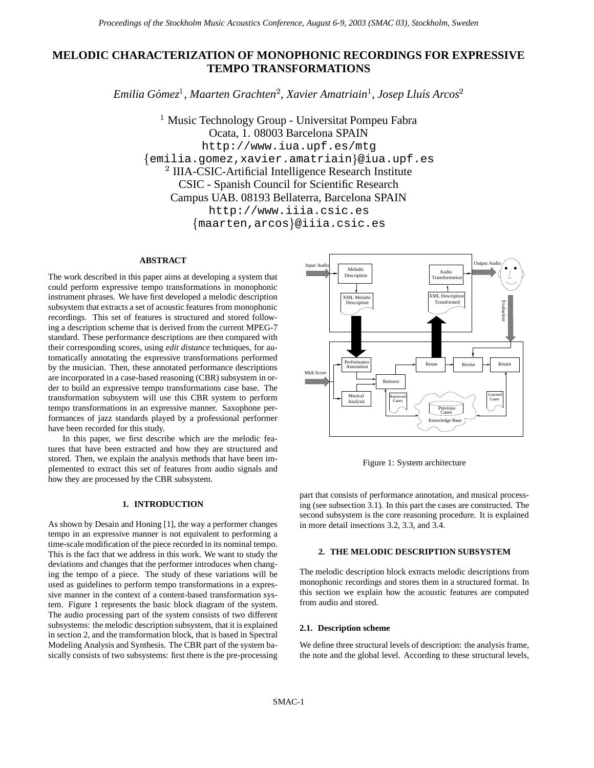# **MELODIC CHARACTERIZATION OF MONOPHONIC RECORDINGS FOR EXPRESSIVE TEMPO TRANSFORMATIONS**

*Emilia Gomez ´ , Maarten Grachten , Xavier Amatriain , Josep Llu´ıs Arcos*

<sup>1</sup> Music Technology Group - Universitat Pompeu Fabra Ocata, 1. 08003 Barcelona SPAIN http://www.iua.upf.es/mtg - emilia.gomez,xavier.amatriain @iua.upf.es  $12$  IIIA-CSIC-Artificial Intelligence Research Institute CSIC - Spanish Council for Scientific Research Campus UAB. 08193 Bellaterra, Barcelona SPAIN http://www.iiia.csic.es - maarten,arcos @iiia.csic.es

# **ABSTRACT**

The work described in this paper aims at developing a system that could perform expressive tempo transformations in monophonic instrument phrases. We have first developed a melodic description subsystem that extracts a set of acoustic features from monophonic recordings. This set of features is structured and stored following a description scheme that is derived from the current MPEG-7 standard. These performance descriptions are then compared with their corresponding scores, using *edit distance* techniques, for automatically annotating the expressive transformations performed by the musician. Then, these annotated performance descriptions are incorporated in a case-based reasoning (CBR) subsystem in order to build an expressive tempo transformations case base. The transformation subsystem will use this CBR system to perform tempo transformations in an expressive manner. Saxophone performances of jazz standards played by a professional performer have been recorded for this study.

In this paper, we first describe which are the melodic features that have been extracted and how they are structured and stored. Then, we explain the analysis methods that have been implemented to extract this set of features from audio signals and how they are processed by the CBR subsystem.

# **1. INTRODUCTION**

As shown by Desain and Honing [1], the way a performer changes tempo in an expressive manner is not equivalent to performing a time-scale modification of the piece recorded in its nominal tempo. This is the fact that we address in this work. We want to study the deviations and changes that the performer introduces when changing the tempo of a piece. The study of these variations will be used as guidelines to perform tempo transformations in a expressive manner in the context of a content-based transformation system. Figure 1 represents the basic block diagram of the system. The audio processing part of the system consists of two different subsystems: the melodic description subsystem, that it is explained in section 2, and the transformation block, that is based in Spectral Modeling Analysis and Synthesis. The CBR part of the system basically consists of two subsystems: first there is the pre-processing



Figure 1: System architecture

part that consists of performance annotation, and musical processing (see subsection 3.1). In this part the cases are constructed. The second subsystem is the core reasoning procedure. It is explained in more detail insections 3.2, 3.3, and 3.4.

# **2. THE MELODIC DESCRIPTION SUBSYSTEM**

The melodic description block extracts melodic descriptions from monophonic recordings and stores them in a structured format. In this section we explain how the acoustic features are computed from audio and stored.

### **2.1. Description scheme**

We define three structural levels of description: the analysis frame, the note and the global level. According to these structural levels,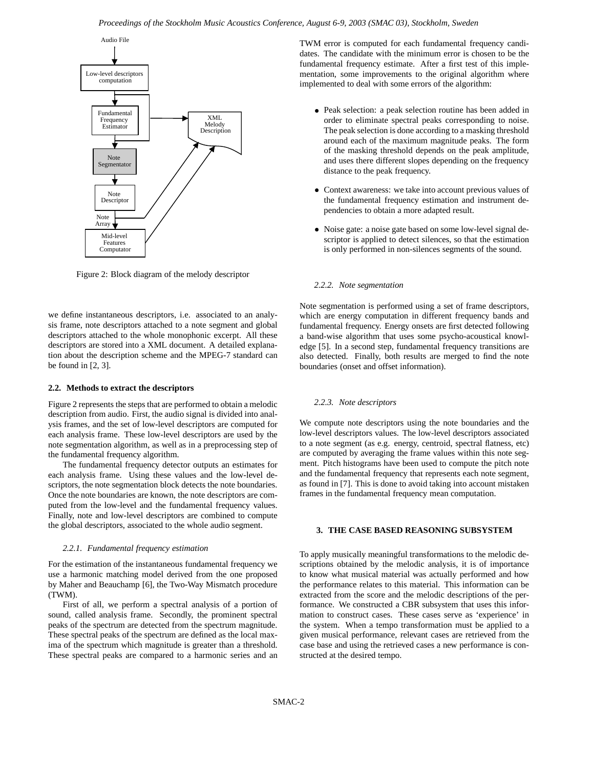

Figure 2: Block diagram of the melody descriptor

we define instantaneous descriptors, i.e. associated to an analysis frame, note descriptors attached to a note segment and global descriptors attached to the whole monophonic excerpt. All these descriptors are stored into a XML document. A detailed explanation about the description scheme and the MPEG-7 standard can be found in [2, 3].

## **2.2. Methods to extract the descriptors**

Figure 2 represents the steps that are performed to obtain a melodic description from audio. First, the audio signal is divided into analysis frames, and the set of low-level descriptors are computed for each analysis frame. These low-level descriptors are used by the note segmentation algorithm, as well as in a preprocessing step of the fundamental frequency algorithm.

The fundamental frequency detector outputs an estimates for each analysis frame. Using these values and the low-level descriptors, the note segmentation block detects the note boundaries. Once the note boundaries are known, the note descriptors are computed from the low-level and the fundamental frequency values. Finally, note and low-level descriptors are combined to compute the global descriptors, associated to the whole audio segment.

# *2.2.1. Fundamental frequency estimation*

For the estimation of the instantaneous fundamental frequency we use a harmonic matching model derived from the one proposed by Maher and Beauchamp [6], the Two-Way Mismatch procedure (TWM).

First of all, we perform a spectral analysis of a portion of sound, called analysis frame. Secondly, the prominent spectral peaks of the spectrum are detected from the spectrum magnitude. These spectral peaks of the spectrum are defined as the local maxima of the spectrum which magnitude is greater than a threshold. These spectral peaks are compared to a harmonic series and an

TWM error is computed for each fundamental frequency candidates. The candidate with the minimum error is chosen to be the fundamental frequency estimate. After a first test of this implementation, some improvements to the original algorithm where implemented to deal with some errors of the algorithm:

- Peak selection: a peak selection routine has been added in order to eliminate spectral peaks corresponding to noise. The peak selection is done according to a masking threshold around each of the maximum magnitude peaks. The form of the masking threshold depends on the peak amplitude, and uses there different slopes depending on the frequency distance to the peak frequency.
- Context awareness: we take into account previous values of the fundamental frequency estimation and instrument dependencies to obtain a more adapted result.
- Noise gate: a noise gate based on some low-level signal descriptor is applied to detect silences, so that the estimation is only performed in non-silences segments of the sound.

#### *2.2.2. Note segmentation*

Note segmentation is performed using a set of frame descriptors, which are energy computation in different frequency bands and fundamental frequency. Energy onsets are first detected following a band-wise algorithm that uses some psycho-acoustical knowledge [5]. In a second step, fundamental frequency transitions are also detected. Finally, both results are merged to find the note boundaries (onset and offset information).

#### *2.2.3. Note descriptors*

We compute note descriptors using the note boundaries and the low-level descriptors values. The low-level descriptors associated to a note segment (as e.g. energy, centroid, spectral flatness, etc) are computed by averaging the frame values within this note segment. Pitch histograms have been used to compute the pitch note and the fundamental frequency that represents each note segment, as found in [7]. This is done to avoid taking into account mistaken frames in the fundamental frequency mean computation.

#### **3. THE CASE BASED REASONING SUBSYSTEM**

To apply musically meaningful transformations to the melodic descriptions obtained by the melodic analysis, it is of importance to know what musical material was actually performed and how the performance relates to this material. This information can be extracted from the score and the melodic descriptions of the performance. We constructed a CBR subsystem that uses this information to construct cases. These cases serve as 'experience' in the system. When a tempo transformation must be applied to a given musical performance, relevant cases are retrieved from the case base and using the retrieved cases a new performance is constructed at the desired tempo.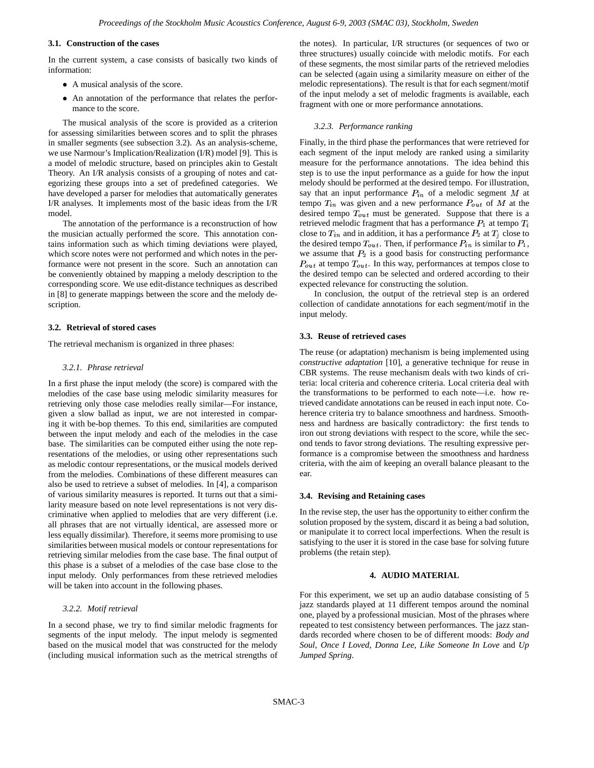# **3.1. Construction of the cases**

In the current system, a case consists of basically two kinds of information:

- A musical analysis of the score.
- An annotation of the performance that relates the performance to the score.

The musical analysis of the score is provided as a criterion for assessing similarities between scores and to split the phrases in smaller segments (see subsection 3.2). As an analysis-scheme, we use Narmour's Implication/Realization (I/R) model [9]. This is a model of melodic structure, based on principles akin to Gestalt Theory. An I/R analysis consists of a grouping of notes and categorizing these groups into a set of predefined categories. We have developed a parser for melodies that automatically generates I/R analyses. It implements most of the basic ideas from the I/R model.

The annotation of the performance is a reconstruction of how the musician actually performed the score. This annotation contains information such as which timing deviations were played, which score notes were not performed and which notes in the performance were not present in the score. Such an annotation can be conveniently obtained by mapping a melody description to the corresponding score. We use edit-distance techniques as described in [8] to generate mappings between the score and the melody description.

## **3.2. Retrieval of stored cases**

The retrieval mechanism is organized in three phases:

#### *3.2.1. Phrase retrieval*

In a first phase the input melody (the score) is compared with the melodies of the case base using melodic similarity measures for retrieving only those case melodies really similar—For instance, given a slow ballad as input, we are not interested in comparing it with be-bop themes. To this end, similarities are computed between the input melody and each of the melodies in the case base. The similarities can be computed either using the note representations of the melodies, or using other representations such as melodic contour representations, or the musical models derived from the melodies. Combinations of these different measures can also be used to retrieve a subset of melodies. In [4], a comparison of various similarity measures is reported. It turns out that a similarity measure based on note level representations is not very discriminative when applied to melodies that are very different (i.e. all phrases that are not virtually identical, are assessed more or less equally dissimilar). Therefore, it seems more promising to use similarities between musical models or contour representations for retrieving similar melodies from the case base. The final output of this phase is a subset of a melodies of the case base close to the input melody. Only performances from these retrieved melodies will be taken into account in the following phases.

## *3.2.2. Motif retrieval*

In a second phase, we try to find similar melodic fragments for segments of the input melody. The input melody is segmented based on the musical model that was constructed for the melody (including musical information such as the metrical strengths of

the notes). In particular, I/R structures (or sequences of two or three structures) usually coincide with melodic motifs. For each of these segments, the most similar parts of the retrieved melodies can be selected (again using a similarity measure on either of the melodic representations). The result is that for each segment/motif of the input melody a set of melodic fragments is available, each fragment with one or more performance annotations.

#### *3.2.3. Performance ranking*

Finally, in the third phase the performances that were retrieved for each segment of the input melody are ranked using a similarity measure for the performance annotations. The idea behind this step is to use the input performance as a guide for how the input melody should be performed at the desired tempo. For illustration, say that an input performance  $P_{in}$  of a melodic segment M at tempo  $T_{in}$  was given and a new performance  $P_{out}$  of M at the desired tempo  $T_{out}$  must be generated. Suppose that there is a retrieved melodic fragment that has a performance  $P_1$  at tempo  $T_i$ close to  $T_{in}$  and in addition, it has a performance  $P_2$  at  $T_i$  close to the desired tempo  $T_{out}$ . Then, if performance  $P_{in}$  is similar to  $P_1$ , we assume that  $P_2$  is a good basis for constructing performance  $P_{out}$  at tempo  $T_{out}$ . In this way, performances at tempos close to the desired tempo can be selected and ordered according to their expected relevance for constructing the solution.

In conclusion, the output of the retrieval step is an ordered collection of candidate annotations for each segment/motif in the input melody.

#### **3.3. Reuse of retrieved cases**

The reuse (or adaptation) mechanism is being implemented using *constructive adaptation* [10], a generative technique for reuse in CBR systems. The reuse mechanism deals with two kinds of criteria: local criteria and coherence criteria. Local criteria deal with the transformations to be performed to each note—i.e. how retrieved candidate annotations can be reused in each input note. Coherence criteria try to balance smoothness and hardness. Smoothness and hardness are basically contradictory: the first tends to iron out strong deviations with respect to the score, while the second tends to favor strong deviations. The resulting expressive performance is a compromise between the smoothness and hardness criteria, with the aim of keeping an overall balance pleasant to the ear.

### **3.4. Revising and Retaining cases**

In the revise step, the user has the opportunity to either confirm the solution proposed by the system, discard it as being a bad solution, or manipulate it to correct local imperfections. When the result is satisfying to the user it is stored in the case base for solving future problems (the retain step).

## **4. AUDIO MATERIAL**

For this experiment, we set up an audio database consisting of 5 jazz standards played at 11 different tempos around the nominal one, played by a professional musician. Most of the phrases where repeated to test consistency between performances. The jazz standards recorded where chosen to be of different moods: *Body and Soul, Once I Loved, Donna Lee, Like Someone In Love* and *Up Jumped Spring*.